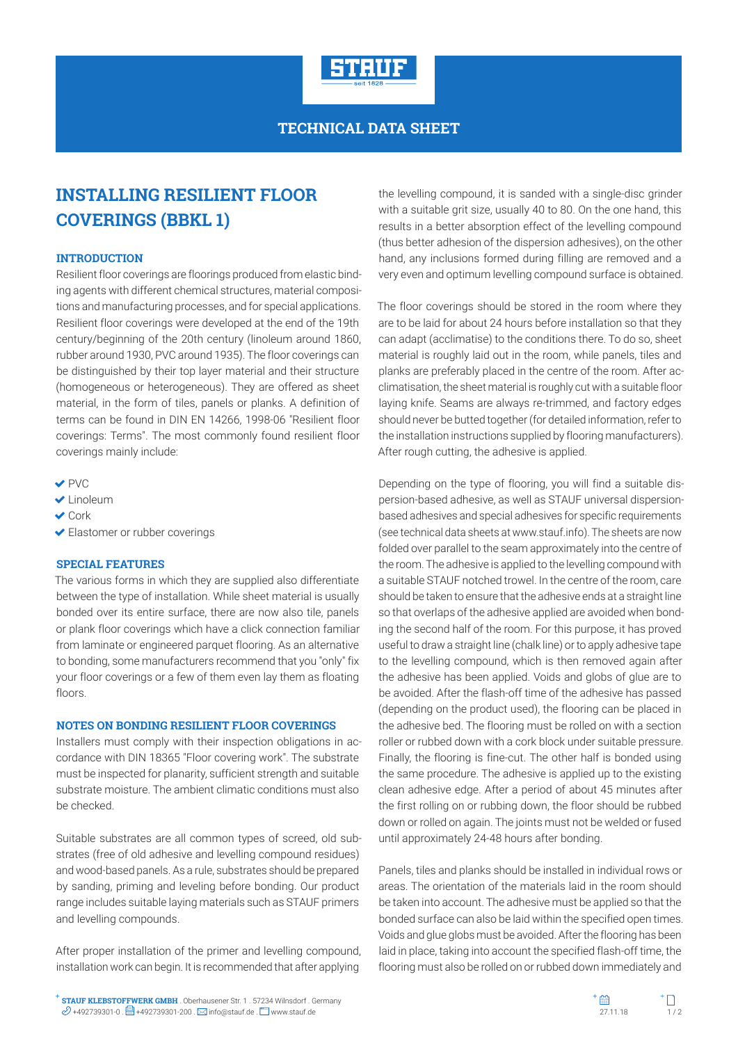

### **TECHNICAL DATA SHEET**

# **INSTALLING RESILIENT FLOOR COVERINGS (BBKL 1)**

#### **INTRODUCTION**

Resilient floor coverings are floorings produced from elastic binding agents with different chemical structures, material compositions and manufacturing processes, and for special applications. Resilient floor coverings were developed at the end of the 19th century/beginning of the 20th century (linoleum around 1860, rubber around 1930, PVC around 1935). The floor coverings can be distinguished by their top layer material and their structure (homogeneous or heterogeneous). They are offered as sheet material, in the form of tiles, panels or planks. A definition of terms can be found in DIN EN 14266, 1998-06 "Resilient floor coverings: Terms". The most commonly found resilient floor coverings mainly include:

- $\vee$  PVC
- Linoleum
- **V** Cork
- Elastomer or rubber coverings

#### **SPECIAL FEATURES**

The various forms in which they are supplied also differentiate between the type of installation. While sheet material is usually bonded over its entire surface, there are now also tile, panels or plank floor coverings which have a click connection familiar from laminate or engineered parquet flooring. As an alternative to bonding, some manufacturers recommend that you "only" fix your floor coverings or a few of them even lay them as floating floors.

#### **NOTES ON BONDING RESILIENT FLOOR COVERINGS**

Installers must comply with their inspection obligations in accordance with DIN 18365 "Floor covering work". The substrate must be inspected for planarity, sufficient strength and suitable substrate moisture. The ambient climatic conditions must also be checked.

Suitable substrates are all common types of screed, old substrates (free of old adhesive and levelling compound residues) and wood-based panels. As a rule, substrates should be prepared by sanding, priming and leveling before bonding. Our product range includes suitable laying materials such as STAUF primers and levelling compounds.

After proper installation of the primer and levelling compound, installation work can begin. It is recommended that after applying

the levelling compound, it is sanded with a single-disc grinder with a suitable grit size, usually 40 to 80. On the one hand, this results in a better absorption effect of the levelling compound (thus better adhesion of the dispersion adhesives), on the other hand, any inclusions formed during filling are removed and a very even and optimum levelling compound surface is obtained.

The floor coverings should be stored in the room where they are to be laid for about 24 hours before installation so that they can adapt (acclimatise) to the conditions there. To do so, sheet material is roughly laid out in the room, while panels, tiles and planks are preferably placed in the centre of the room. After acclimatisation, the sheet material is roughly cut with a suitable floor laying knife. Seams are always re-trimmed, and factory edges should never be butted together (for detailed information, refer to the installation instructions supplied by flooring manufacturers). After rough cutting, the adhesive is applied.

Depending on the type of flooring, you will find a suitable dispersion-based adhesive, as well as STAUF universal dispersionbased adhesives and special adhesives for specific requirements (see technical data sheets at www.stauf.info). The sheets are now folded over parallel to the seam approximately into the centre of the room. The adhesive is applied to the levelling compound with a suitable STAUF notched trowel. In the centre of the room, care should be taken to ensure that the adhesive ends at a straight line so that overlaps of the adhesive applied are avoided when bonding the second half of the room. For this purpose, it has proved useful to draw a straight line (chalk line) or to apply adhesive tape to the levelling compound, which is then removed again after the adhesive has been applied. Voids and globs of glue are to be avoided. After the flash-off time of the adhesive has passed (depending on the product used), the flooring can be placed in the adhesive bed. The flooring must be rolled on with a section roller or rubbed down with a cork block under suitable pressure. Finally, the flooring is fine-cut. The other half is bonded using the same procedure. The adhesive is applied up to the existing clean adhesive edge. After a period of about 45 minutes after the first rolling on or rubbing down, the floor should be rubbed down or rolled on again. The joints must not be welded or fused until approximately 24-48 hours after bonding.

Panels, tiles and planks should be installed in individual rows or areas. The orientation of the materials laid in the room should be taken into account. The adhesive must be applied so that the bonded surface can also be laid within the specified open times. Voids and glue globs must be avoided. After the flooring has been laid in place, taking into account the specified flash-off time, the flooring must also be rolled on or rubbed down immediately and